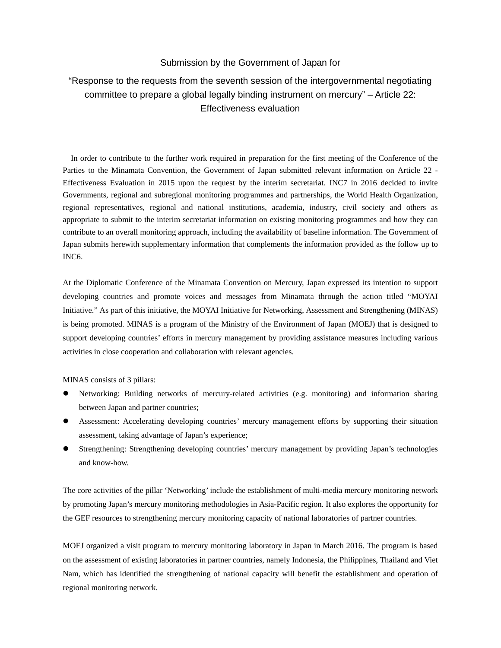## Submission by the Government of Japan for

## "Response to the requests from the seventh session of the intergovernmental negotiating committee to prepare a global legally binding instrument on mercury" – Article 22: Effectiveness evaluation

In order to contribute to the further work required in preparation for the first meeting of the Conference of the Parties to the Minamata Convention, the Government of Japan submitted relevant information on Article 22 - Effectiveness Evaluation in 2015 upon the request by the interim secretariat. INC7 in 2016 decided to invite Governments, regional and subregional monitoring programmes and partnerships, the World Health Organization, regional representatives, regional and national institutions, academia, industry, civil society and others as appropriate to submit to the interim secretariat information on existing monitoring programmes and how they can contribute to an overall monitoring approach, including the availability of baseline information. The Government of Japan submits herewith supplementary information that complements the information provided as the follow up to INC6.

At the Diplomatic Conference of the Minamata Convention on Mercury, Japan expressed its intention to support developing countries and promote voices and messages from Minamata through the action titled "MOYAI Initiative." As part of this initiative, the MOYAI Initiative for Networking, Assessment and Strengthening (MINAS) is being promoted. MINAS is a program of the Ministry of the Environment of Japan (MOEJ) that is designed to support developing countries' efforts in mercury management by providing assistance measures including various activities in close cooperation and collaboration with relevant agencies.

MINAS consists of 3 pillars:

- Networking: Building networks of mercury-related activities (e.g. monitoring) and information sharing between Japan and partner countries;
- Assessment: Accelerating developing countries' mercury management efforts by supporting their situation assessment, taking advantage of Japan's experience;
- Strengthening: Strengthening developing countries' mercury management by providing Japan's technologies and know-how.

The core activities of the pillar 'Networking' include the establishment of multi-media mercury monitoring network by promoting Japan's mercury monitoring methodologies in Asia-Pacific region. It also explores the opportunity for the GEF resources to strengthening mercury monitoring capacity of national laboratories of partner countries.

MOEJ organized a visit program to mercury monitoring laboratory in Japan in March 2016. The program is based on the assessment of existing laboratories in partner countries, namely Indonesia, the Philippines, Thailand and Viet Nam, which has identified the strengthening of national capacity will benefit the establishment and operation of regional monitoring network.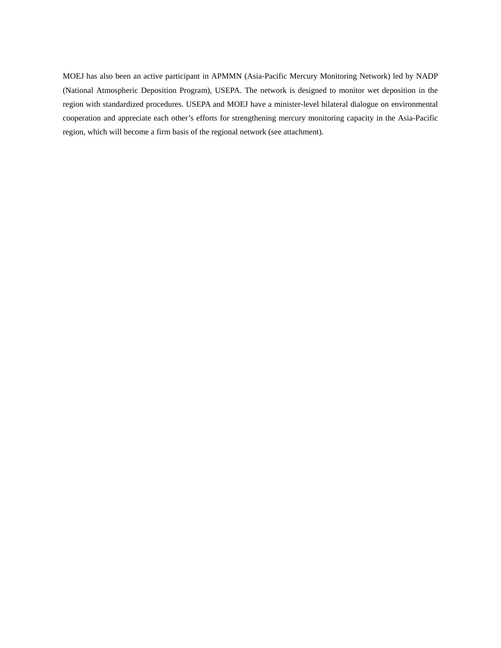MOEJ has also been an active participant in APMMN (Asia-Pacific Mercury Monitoring Network) led by NADP (National Atmospheric Deposition Program), USEPA. The network is designed to monitor wet deposition in the region with standardized procedures. USEPA and MOEJ have a minister-level bilateral dialogue on environmental cooperation and appreciate each other's efforts for strengthening mercury monitoring capacity in the Asia-Pacific region, which will become a firm basis of the regional network (see attachment).